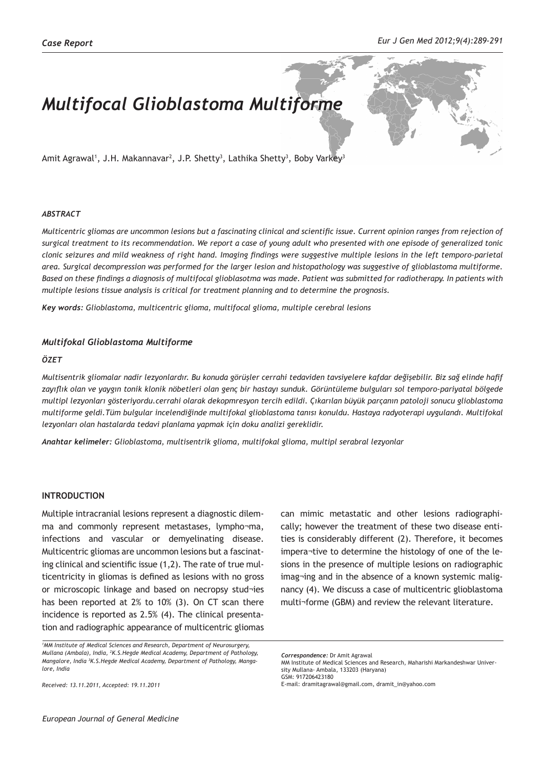# *Multifocal Glioblastoma Multiforme*

Amit Agrawal', J.H. Makannavar<sup>2</sup>, J.P. Shetty<sup>3</sup>, Lathika Shetty<sup>3</sup>, Boby Varkey<sup>3</sup>

#### *ABSTRACT*

*Multicentric gliomas are uncommon lesions but a fascinating clinical and scientific issue. Current opinion ranges from rejection of surgical treatment to its recommendation. We report a case of young adult who presented with one episode of generalized tonic clonic seizures and mild weakness of right hand. Imaging findings were suggestive multiple lesions in the left temporo-parietal area. Surgical decompression was performed for the larger lesion and histopathology was suggestive of glioblastoma multiforme. Based on these findings a diagnosis of multifocal glioblasotma was made. Patient was submitted for radiotherapy. In patients with multiple lesions tissue analysis is critical for treatment planning and to determine the prognosis.* 

*Key words: Glioblastoma, multicentric glioma, multifocal glioma, multiple cerebral lesions*

#### *Multifokal Glioblastoma Multiforme*

### *ÖZET*

*Multisentrik gliomalar nadir lezyonlardır. Bu konuda görüşler cerrahi tedaviden tavsiyelere kafdar değişebilir. Biz sağ elinde hafif zayıflık olan ve yaygın tonik klonik nöbetleri olan genç bir hastayı sunduk. Görüntüleme bulguları sol temporo-pariyatal bölgede multipl lezyonları gösteriyordu.cerrahi olarak dekopmresyon tercih edildi. Çıkarılan büyük parçanın patoloji sonucu glioblastoma multiforme geldi.Tüm bulgular incelendiğinde multifokal glioblastoma tanısı konuldu. Hastaya radyoterapi uygulandı. Multifokal lezyonları olan hastalarda tedavi planlama yapmak için doku analizi gereklidir.*

*Anahtar kelimeler: Glioblastoma, multisentrik glioma, multifokal glioma, multipl serabral lezyonlar*

#### **INTRODUCTION**

Multiple intracranial lesions represent a diagnostic dilemma and commonly represent metastases, lympho¬ma, infections and vascular or demyelinating disease. Multicentric gliomas are uncommon lesions but a fascinating clinical and scientific issue (1,2). The rate of true multicentricity in gliomas is defined as lesions with no gross or microscopic linkage and based on necropsy stud¬ies has been reported at 2% to 10% (3). On CT scan there incidence is reported as 2.5% (4). The clinical presentation and radiographic appearance of multicentric gliomas

*Received: 13.11.2011, Accepted: 19.11.2011*

can mimic metastatic and other lesions radiographically; however the treatment of these two disease entities is considerably different (2). Therefore, it becomes impera¬tive to determine the histology of one of the lesions in the presence of multiple lesions on radiographic imag¬ing and in the absence of a known systemic malignancy (4). We discuss a case of multicentric glioblastoma multi¬forme (GBM) and review the relevant literature.

GSM: 917206423180

*<sup>1</sup> MM Institute of Medical Sciences and Research, Department of Neurosurgery, Mullana (Ambala), India, <sup>2</sup> K.S.Hegde Medical Academy, Department of Pathology, Mangalore, India <sup>3</sup> K.S.Hegde Medical Academy, Department of Pathology, Mangalore, India* 

*Correspondence:* Dr Amit Agrawal

MM Institute of Medical Sciences and Research, Maharishi Markandeshwar University Mullana- Ambala, 133203 (Haryana)

E-mail: dramitagrawal@gmail.com, dramit\_in@yahoo.com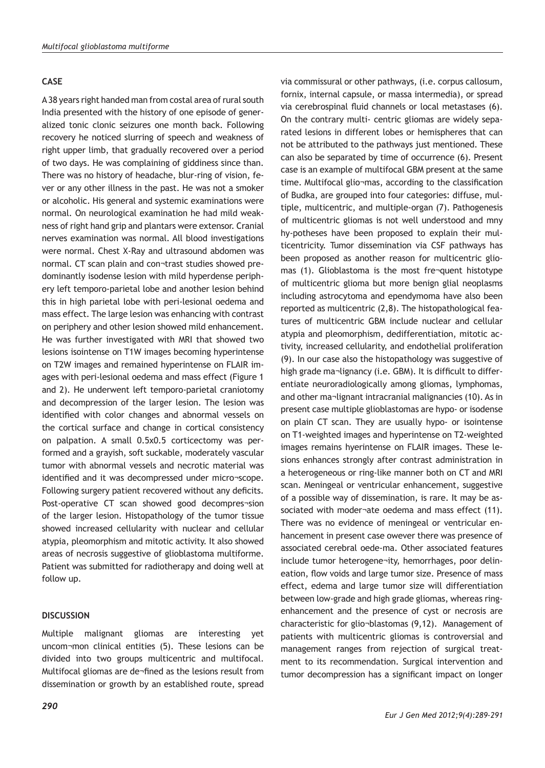## **CASE**

A 38 years right handed man from costal area of rural south India presented with the history of one episode of generalized tonic clonic seizures one month back. Following recovery he noticed slurring of speech and weakness of right upper limb, that gradually recovered over a period of two days. He was complaining of giddiness since than. There was no history of headache, blur-ring of vision, fever or any other illness in the past. He was not a smoker or alcoholic. His general and systemic examinations were normal. On neurological examination he had mild weakness of right hand grip and plantars were extensor. Cranial nerves examination was normal. All blood investigations were normal. Chest X-Ray and ultrasound abdomen was normal. CT scan plain and con¬trast studies showed predominantly isodense lesion with mild hyperdense periphery left temporo-parietal lobe and another lesion behind this in high parietal lobe with peri-lesional oedema and mass effect. The large lesion was enhancing with contrast on periphery and other lesion showed mild enhancement. He was further investigated with MRI that showed two lesions isointense on T1W images becoming hyperintense on T2W images and remained hyperintense on FLAIR images with peri-lesional oedema and mass effect (Figure 1 and 2). He underwent left temporo-parietal craniotomy and decompression of the larger lesion. The lesion was identified with color changes and abnormal vessels on the cortical surface and change in cortical consistency on palpation. A small 0.5x0.5 corticectomy was performed and a grayish, soft suckable, moderately vascular tumor with abnormal vessels and necrotic material was identified and it was decompressed under micro¬scope. Following surgery patient recovered without any deficits. Post-operative CT scan showed good decompres¬sion of the larger lesion. Histopathology of the tumor tissue showed increased cellularity with nuclear and cellular atypia, pleomorphism and mitotic activity. It also showed areas of necrosis suggestive of glioblastoma multiforme. Patient was submitted for radiotherapy and doing well at follow up.

#### **DISCUSSION**

Multiple malignant gliomas are interesting yet uncom¬mon clinical entities (5). These lesions can be divided into two groups multicentric and multifocal. Multifocal gliomas are de¬fined as the lesions result from dissemination or growth by an established route, spread

via commissural or other pathways, (i.e. corpus callosum, fornix, internal capsule, or massa intermedia), or spread via cerebrospinal fluid channels or local metastases (6). On the contrary multi- centric gliomas are widely separated lesions in different lobes or hemispheres that can not be attributed to the pathways just mentioned. These can also be separated by time of occurrence (6). Present case is an example of multifocal GBM present at the same time. Multifocal glio¬mas, according to the classification of Budka, are grouped into four categories: diffuse, multiple, multicentric, and multiple-organ (7). Pathogenesis of multicentric gliomas is not well understood and mny hy-potheses have been proposed to explain their multicentricity. Tumor dissemination via CSF pathways has been proposed as another reason for multicentric gliomas (1). Glioblastoma is the most fre¬quent histotype of multicentric glioma but more benign glial neoplasms including astrocytoma and ependymoma have also been reported as multicentric (2,8). The histopathological features of multicentric GBM include nuclear and cellular atypia and pleomorphism, dedifferentiation, mitotic activity, increased cellularity, and endothelial proliferation (9). In our case also the histopathology was suggestive of high grade ma¬lignancy (i.e. GBM). It is difficult to differentiate neuroradiologically among gliomas, lymphomas, and other ma¬lignant intracranial malignancies (10). As in present case multiple glioblastomas are hypo- or isodense on plain CT scan. They are usually hypo- or isointense on T1-weighted images and hyperintense on T2-weighted images remains hyerintense on FLAIR images. These lesions enhances strongly after contrast administration in a heterogeneous or ring-like manner both on CT and MRI scan. Meningeal or ventricular enhancement, suggestive of a possible way of dissemination, is rare. It may be associated with moder¬ate oedema and mass effect (11). There was no evidence of meningeal or ventricular enhancement in present case owever there was presence of associated cerebral oede-ma. Other associated features include tumor heterogene¬ity, hemorrhages, poor delineation, flow voids and large tumor size. Presence of mass effect, edema and large tumor size will differentiation between low-grade and high grade gliomas, whereas ringenhancement and the presence of cyst or necrosis are characteristic for glio¬blastomas (9,12). Management of patients with multicentric gliomas is controversial and management ranges from rejection of surgical treatment to its recommendation. Surgical intervention and tumor decompression has a significant impact on longer